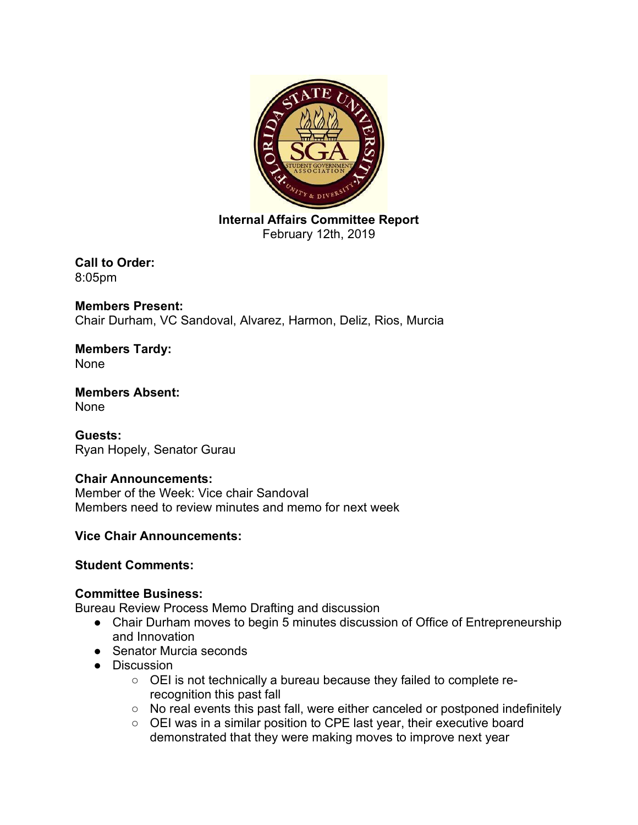

**Internal Affairs Committee Report** February 12th, 2019

**Call to Order:**  8:05pm

**Members Present:**  Chair Durham, VC Sandoval, Alvarez, Harmon, Deliz, Rios, Murcia

**Members Tardy:**  None

**Members Absent:**  None

**Guests:**  Ryan Hopely, Senator Gurau

# **Chair Announcements:**

Member of the Week: Vice chair Sandoval Members need to review minutes and memo for next week

# **Vice Chair Announcements:**

## **Student Comments:**

## **Committee Business:**

Bureau Review Process Memo Drafting and discussion

- Chair Durham moves to begin 5 minutes discussion of Office of Entrepreneurship and Innovation
- Senator Murcia seconds
- Discussion
	- OEI is not technically a bureau because they failed to complete rerecognition this past fall
	- No real events this past fall, were either canceled or postponed indefinitely
	- OEI was in a similar position to CPE last year, their executive board demonstrated that they were making moves to improve next year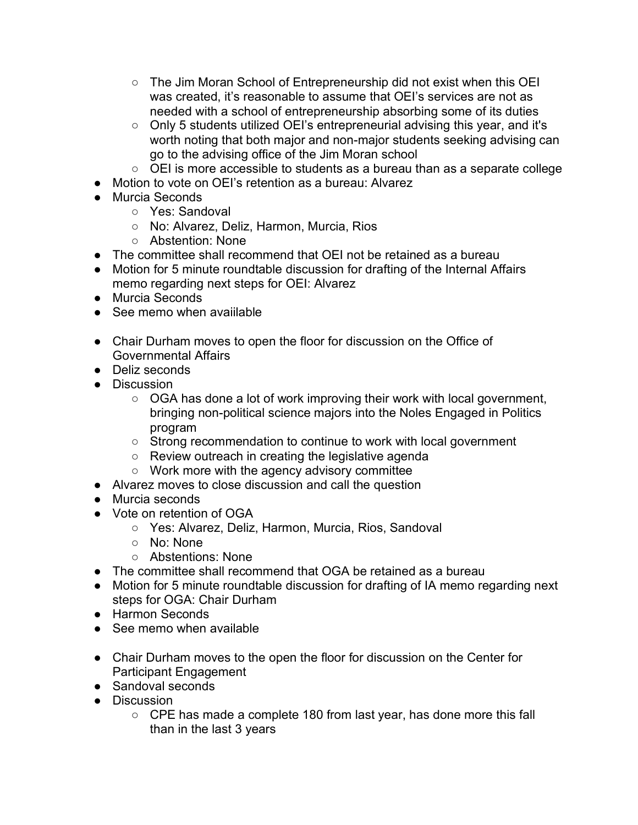- The Jim Moran School of Entrepreneurship did not exist when this OEI was created, it's reasonable to assume that OEI's services are not as needed with a school of entrepreneurship absorbing some of its duties
- Only 5 students utilized OEI's entrepreneurial advising this year, and it's worth noting that both major and non-major students seeking advising can go to the advising office of the Jim Moran school
- OEI is more accessible to students as a bureau than as a separate college
- Motion to vote on OEI's retention as a bureau: Alvarez
- Murcia Seconds
	- Yes: Sandoval
	- No: Alvarez, Deliz, Harmon, Murcia, Rios
	- Abstention: None
- The committee shall recommend that OEI not be retained as a bureau
- Motion for 5 minute roundtable discussion for drafting of the Internal Affairs memo regarding next steps for OEI: Alvarez
- Murcia Seconds
- $\bullet$  See memo when avaiilable
- Chair Durham moves to open the floor for discussion on the Office of Governmental Affairs
- Deliz seconds
- Discussion
	- OGA has done a lot of work improving their work with local government, bringing non-political science majors into the Noles Engaged in Politics program
	- Strong recommendation to continue to work with local government
	- Review outreach in creating the legislative agenda
	- Work more with the agency advisory committee
- Alvarez moves to close discussion and call the question
- Murcia seconds
- Vote on retention of OGA
	- Yes: Alvarez, Deliz, Harmon, Murcia, Rios, Sandoval
	- No: None
	- Abstentions: None
- The committee shall recommend that OGA be retained as a bureau
- Motion for 5 minute roundtable discussion for drafting of IA memo regarding next steps for OGA: Chair Durham
- Harmon Seconds
- See memo when available
- Chair Durham moves to the open the floor for discussion on the Center for Participant Engagement
- Sandoval seconds
- Discussion
	- CPE has made a complete 180 from last year, has done more this fall than in the last 3 years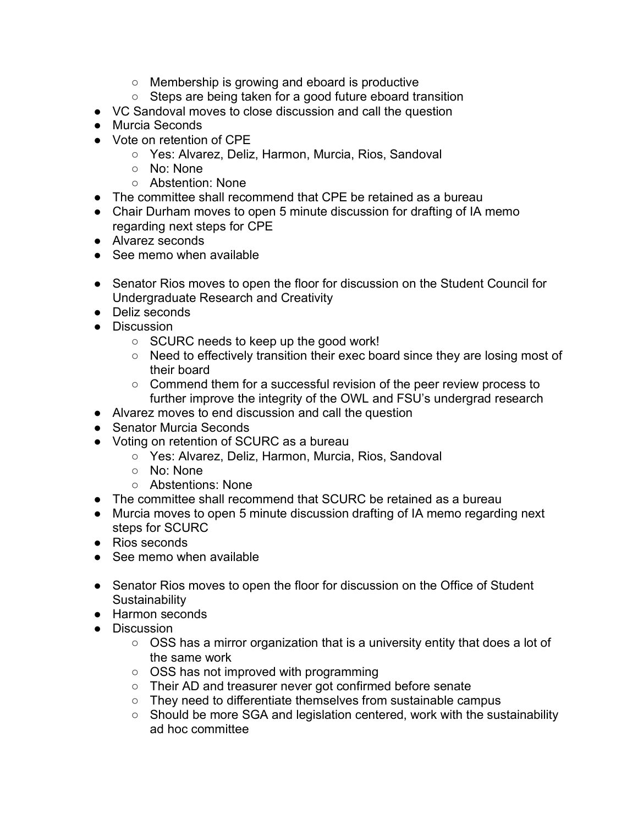- Membership is growing and eboard is productive
- Steps are being taken for a good future eboard transition
- VC Sandoval moves to close discussion and call the question
- Murcia Seconds
- Vote on retention of CPE
	- Yes: Alvarez, Deliz, Harmon, Murcia, Rios, Sandoval
	- o No: None
	- Abstention: None
- The committee shall recommend that CPE be retained as a bureau
- Chair Durham moves to open 5 minute discussion for drafting of IA memo regarding next steps for CPE
- Alvarez seconds
- See memo when available
- Senator Rios moves to open the floor for discussion on the Student Council for Undergraduate Research and Creativity
- Deliz seconds
- Discussion
	- SCURC needs to keep up the good work!
	- Need to effectively transition their exec board since they are losing most of their board
	- Commend them for a successful revision of the peer review process to further improve the integrity of the OWL and FSU's undergrad research
- Alvarez moves to end discussion and call the question
- Senator Murcia Seconds
- Voting on retention of SCURC as a bureau
	- Yes: Alvarez, Deliz, Harmon, Murcia, Rios, Sandoval
	- No: None
	- Abstentions: None
- The committee shall recommend that SCURC be retained as a bureau
- Murcia moves to open 5 minute discussion drafting of IA memo regarding next steps for SCURC
- Rios seconds
- See memo when available
- Senator Rios moves to open the floor for discussion on the Office of Student **Sustainability**
- Harmon seconds
- Discussion
	- OSS has a mirror organization that is a university entity that does a lot of the same work
	- OSS has not improved with programming
	- Their AD and treasurer never got confirmed before senate
	- They need to differentiate themselves from sustainable campus
	- Should be more SGA and legislation centered, work with the sustainability ad hoc committee